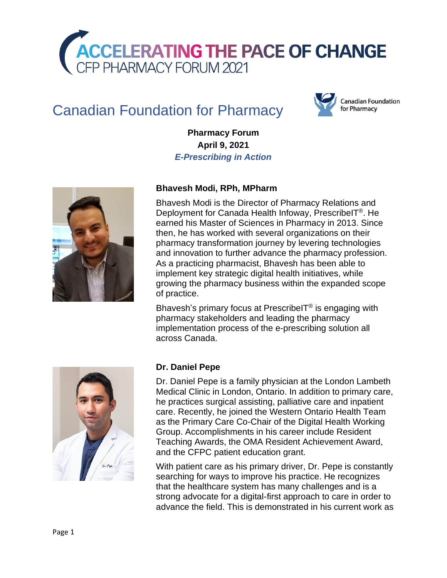

# Canadian Foundation for Pharmacy



**Pharmacy Forum April 9, 2021** *E-Prescribing in Action*



## **Bhavesh Modi, RPh, MPharm**

Bhavesh Modi is the Director of Pharmacy Relations and Deployment for Canada Health Infoway, PrescribeIT®. He earned his Master of Sciences in Pharmacy in 2013. Since then, he has worked with several organizations on their pharmacy transformation journey by levering technologies and innovation to further advance the pharmacy profession. As a practicing pharmacist, Bhavesh has been able to implement key strategic digital health initiatives, while growing the pharmacy business within the expanded scope of practice.

Bhavesh's primary focus at PrescribeIT® is engaging with pharmacy stakeholders and leading the pharmacy implementation process of the e-prescribing solution all across Canada.



#### **Dr. Daniel Pepe**

Dr. Daniel Pepe is a family physician at the London Lambeth Medical Clinic in London, Ontario. In addition to primary care, he practices surgical assisting, palliative care and inpatient care. Recently, he joined the Western Ontario Health Team as the Primary Care Co-Chair of the Digital Health Working Group. Accomplishments in his career include Resident Teaching Awards, the OMA Resident Achievement Award, and the CFPC patient education grant.

With patient care as his primary driver, Dr. Pepe is constantly searching for ways to improve his practice. He recognizes that the healthcare system has many challenges and is a strong advocate for a digital-first approach to care in order to advance the field. This is demonstrated in his current work as